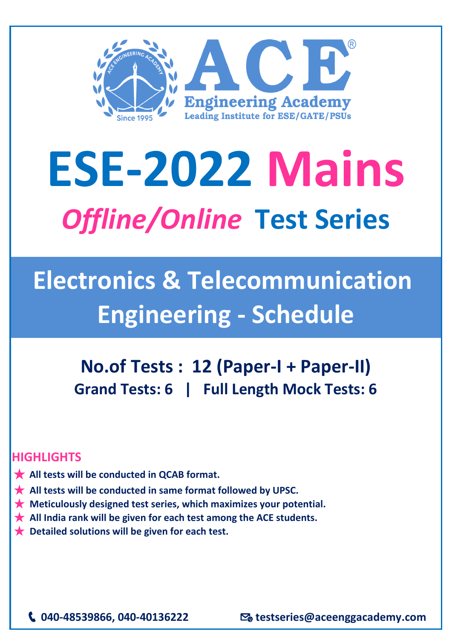

## **ESE-2022 Mains** *Offline/Online* **Test Series**

## **Electronics & Telecommunication Engineering - Schedule**

**No.of Tests : 12 (Paper-I + Paper-II) Grand Tests: 6 | Full Length Mock Tests: 6** 

## **HIGHLIGHTS**

- ★ **All tests will be conducted in QCAB format.**
- ★ **All tests will be conducted in same format followed by UPSC.**
- ★ **Meticulously designed test series, which maximizes your potential.**
- ★ **All India rank will be given for each test among the ACE students.**
- ★ **Detailed solutions will be given for each test.**

**040-48539866, 040-40136222 testseries@aceenggacademy.com**